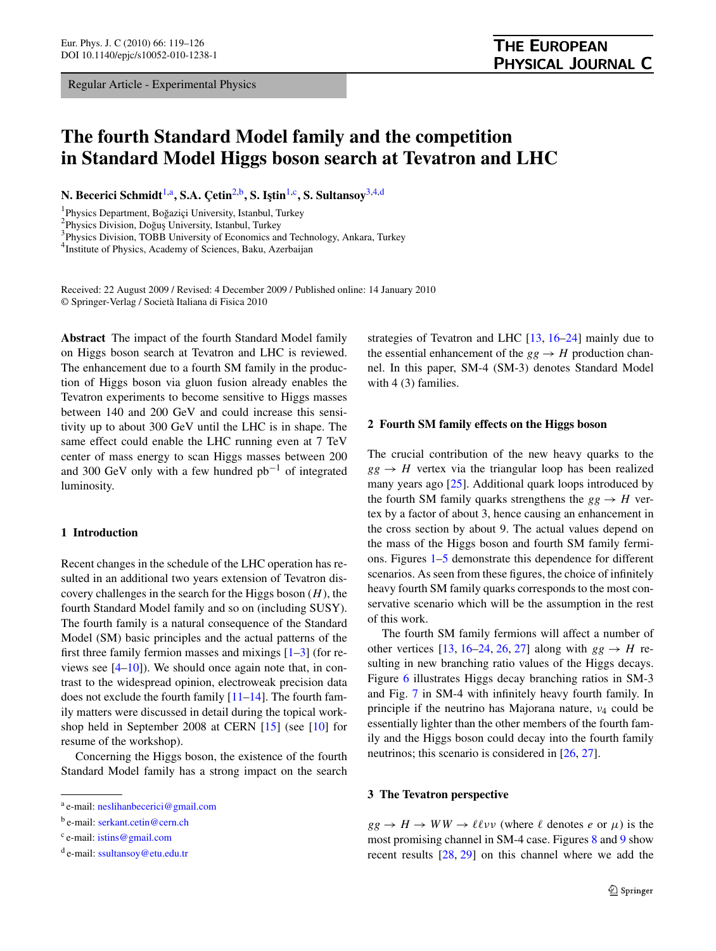Regular Article - Experimental Physics

# **The fourth Standard Model family and the competition in Standard Model Higgs boson search at Tevatron and LHC**

**N. Becerici Schmidt**1,a**, S.A. Çetin**2,b**, S. I¸stin**1,c**, S. Sultansoy**3,4,d

<sup>1</sup> Physics Department, Boğaziçi University, Istanbul, Turkey<br><sup>2</sup> Physics Division, Doğus University, Istanbul, Turkey

<sup>2</sup>Physics Division, Doğuş University, Istanbul, Turkey

<sup>3</sup>Physics Division, TOBB University of Economics and Technology, Ankara, Turkey

<sup>4</sup> Institute of Physics, Academy of Sciences, Baku, Azerbaijan

Received: 22 August 2009 / Revised: 4 December 2009 / Published online: 14 January 2010 © Springer-Verlag / Società Italiana di Fisica 2010

**Abstract** The impact of the fourth Standard Model family on Higgs boson search at Tevatron and LHC is reviewed. The enhancement due to a fourth SM family in the production of Higgs boson via gluon fusion already enables the Tevatron experiments to become sensitive to Higgs masses between 140 and 200 GeV and could increase this sensitivity up to about 300 GeV until the LHC is in shape. The same effect could enable the LHC running even at 7 TeV center of mass energy to scan Higgs masses between 200 and 300 GeV only with a few hundred  $pb^{-1}$  of integrated luminosity.

# **1 Introduction**

Recent changes in the schedule of the LHC operation has resulted in an additional two years extension of Tevatron discovery challenges in the search for the Higgs boson (*H*), the fourth Standard Model family and so on (including SUSY). The fourth family is a natural consequence of the Standard Model (SM) basic principles and the actual patterns of the first three family fermion masses and mixings  $[1-3]$  (for reviews see [[4–10\]](#page-6-0)). We should once again note that, in contrast to the widespread opinion, electroweak precision data does not exclude the fourth family  $[11-14]$ . The fourth family matters were discussed in detail during the topical workshop held in September 2008 at CERN [\[15](#page-6-0)] (see [\[10](#page-6-0)] for resume of the workshop).

Concerning the Higgs boson, the existence of the fourth Standard Model family has a strong impact on the search strategies of Tevatron and LHC [[13,](#page-6-0) [16–](#page-6-0)[24\]](#page-7-0) mainly due to the essential enhancement of the  $gg \rightarrow H$  production channel. In this paper, SM-4 (SM-3) denotes Standard Model with 4 (3) families.

### **2 Fourth SM family effects on the Higgs boson**

The crucial contribution of the new heavy quarks to the  $gg \rightarrow H$  vertex via the triangular loop has been realized many years ago [[25\]](#page-7-0). Additional quark loops introduced by the fourth SM family quarks strengthens the  $gg \rightarrow H$  vertex by a factor of about 3, hence causing an enhancement in the cross section by about 9. The actual values depend on the mass of the Higgs boson and fourth SM family fermions. Figures [1–5](#page-1-0) demonstrate this dependence for different scenarios. As seen from these figures, the choice of infinitely heavy fourth SM family quarks corresponds to the most conservative scenario which will be the assumption in the rest of this work.

The fourth SM family fermions will affect a number of other vertices [\[13](#page-6-0), [16](#page-6-0)[–24,](#page-7-0) [26,](#page-7-0) [27\]](#page-7-0) along with  $gg \rightarrow H$  resulting in new branching ratio values of the Higgs decays. Figure [6](#page-1-0) illustrates Higgs decay branching ratios in SM-3 and Fig. [7](#page-2-0) in SM-4 with infinitely heavy fourth family. In principle if the neutrino has Majorana nature, *ν*<sup>4</sup> could be essentially lighter than the other members of the fourth family and the Higgs boson could decay into the fourth family neutrinos; this scenario is considered in [\[26](#page-7-0), [27](#page-7-0)].

#### **3 The Tevatron perspective**

 $gg \rightarrow H \rightarrow WW \rightarrow \ell \ell \nu \nu$  (where  $\ell$  denotes *e* or  $\mu$ ) is the most promising channel in SM-4 case. Figures [8](#page-2-0) and [9](#page-2-0) show recent results [\[28](#page-7-0), [29\]](#page-7-0) on this channel where we add the

<sup>a</sup> e-mail: [neslihanbecerici@gmail.com](mailto:neslihanbecerici@gmail.com)

<sup>b</sup> e-mail: [serkant.cetin@cern.ch](mailto:serkant.cetin@cern.ch)

<sup>c</sup> e-mail: [istins@gmail.com](mailto:istins@gmail.com)

<sup>d</sup> e-mail: [ssultansoy@etu.edu.tr](mailto:ssultansoy@etu.edu.tr)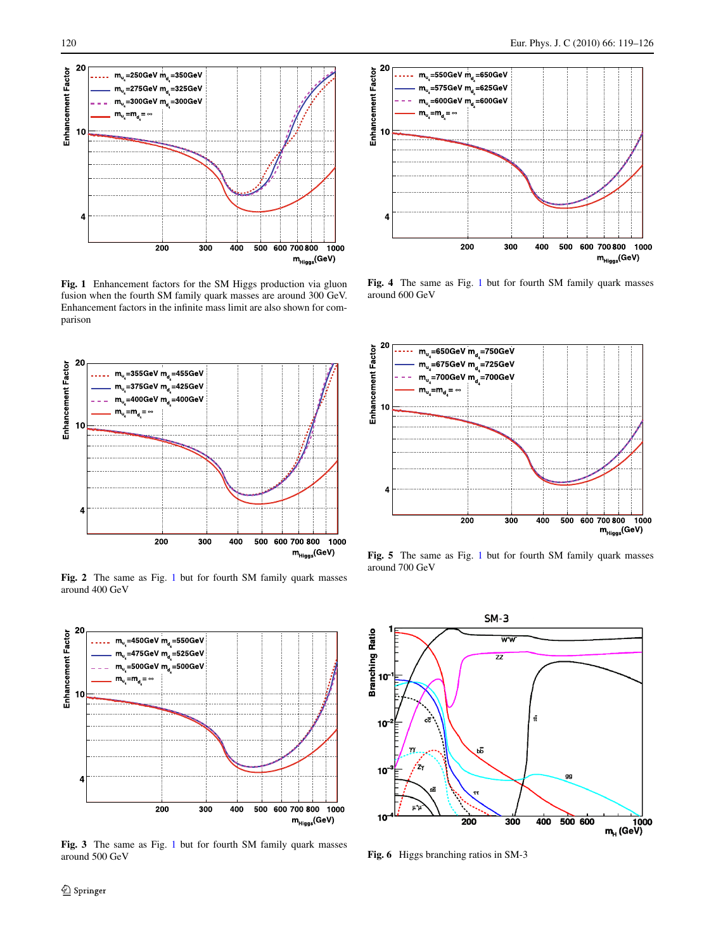<span id="page-1-0"></span>

**Fig. 1** Enhancement factors for the SM Higgs production via gluon fusion when the fourth SM family quark masses are around 300 GeV. Enhancement factors in the infinite mass limit are also shown for comparison



**Fig. 2** The same as Fig. 1 but for fourth SM family quark masses around 400 GeV



**Fig. 3** The same as Fig. 1 but for fourth SM family quark masses around 500 GeV



**Fig. 4** The same as Fig. 1 but for fourth SM family quark masses around 600 GeV



**Fig. 5** The same as Fig. 1 but for fourth SM family quark masses around 700 GeV



**Fig. 6** Higgs branching ratios in SM-3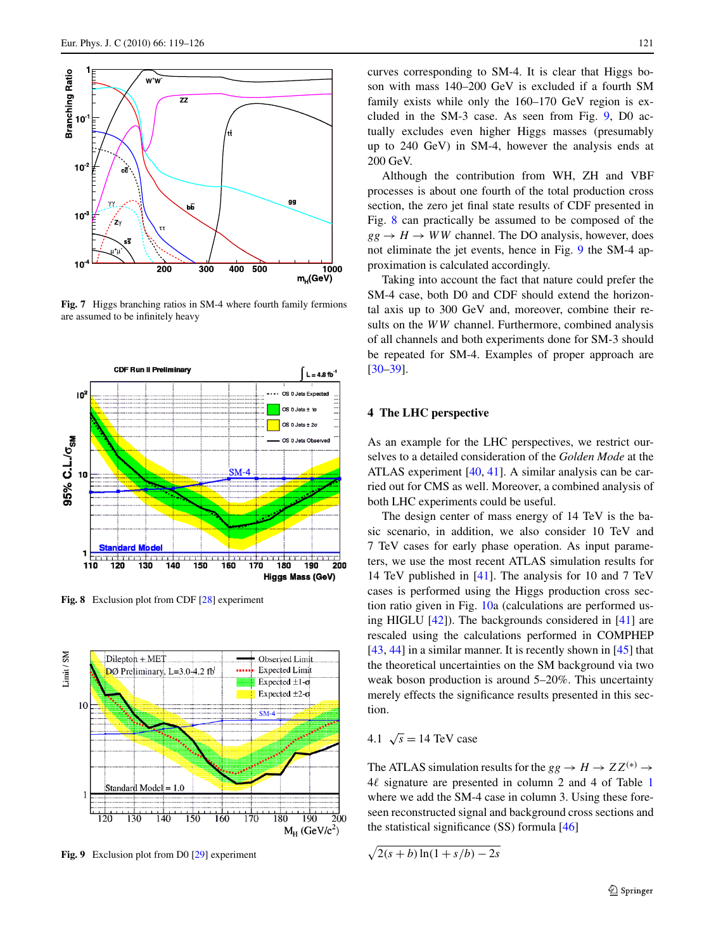<span id="page-2-0"></span>

**Fig. 7** Higgs branching ratios in SM-4 where fourth family fermions are assumed to be infinitely heavy



**Fig. 8** Exclusion plot from CDF [\[28\]](#page-7-0) experiment



**Fig. 9** Exclusion plot from D0 [\[29\]](#page-7-0) experiment

curves corresponding to SM-4. It is clear that Higgs boson with mass 140–200 GeV is excluded if a fourth SM family exists while only the 160–170 GeV region is excluded in the SM-3 case. As seen from Fig. 9, D0 actually excludes even higher Higgs masses (presumably up to 240 GeV) in SM-4, however the analysis ends at 200 GeV.

Although the contribution from WH, ZH and VBF processes is about one fourth of the total production cross section, the zero jet final state results of CDF presented in Fig. 8 can practically be assumed to be composed of the  $gg \rightarrow H \rightarrow WW$  channel. The DO analysis, however, does not eliminate the jet events, hence in Fig. 9 the SM-4 approximation is calculated accordingly.

Taking into account the fact that nature could prefer the SM-4 case, both D0 and CDF should extend the horizontal axis up to 300 GeV and, moreover, combine their results on the *WW* channel. Furthermore, combined analysis of all channels and both experiments done for SM-3 should be repeated for SM-4. Examples of proper approach are [\[30–39](#page-7-0)].

# **4 The LHC perspective**

As an example for the LHC perspectives, we restrict ourselves to a detailed consideration of the *Golden Mode* at the ATLAS experiment [[40,](#page-7-0) [41](#page-7-0)]. A similar analysis can be carried out for CMS as well. Moreover, a combined analysis of both LHC experiments could be useful.

The design center of mass energy of 14 TeV is the basic scenario, in addition, we also consider 10 TeV and 7 TeV cases for early phase operation. As input parameters, we use the most recent ATLAS simulation results for 14 TeV published in [\[41](#page-7-0)]. The analysis for 10 and 7 TeV cases is performed using the Higgs production cross section ratio given in Fig. [10](#page-3-0)a (calculations are performed using HIGLU  $[42]$  $[42]$ ). The backgrounds considered in  $[41]$  $[41]$  are rescaled using the calculations performed in COMPHEP  $[43, 44]$  $[43, 44]$  $[43, 44]$  $[43, 44]$  in a similar manner. It is recently shown in  $[45]$  $[45]$  that the theoretical uncertainties on the SM background via two weak boson production is around 5–20%. This uncertainty merely effects the significance results presented in this section.

# 4.1  $\sqrt{s}$  = 14 TeV case

The ATLAS simulation results for the  $gg \to H \to ZZ^{(*)} \to$  $4\ell$  signature are presented in column 2 and 4 of Table [1](#page-3-0) where we add the SM-4 case in column 3. Using these foreseen reconstructed signal and background cross sections and the statistical significance (SS) formula [\[46](#page-7-0)]

 $\sqrt{2(s+b)\ln(1+s/b)-2s}$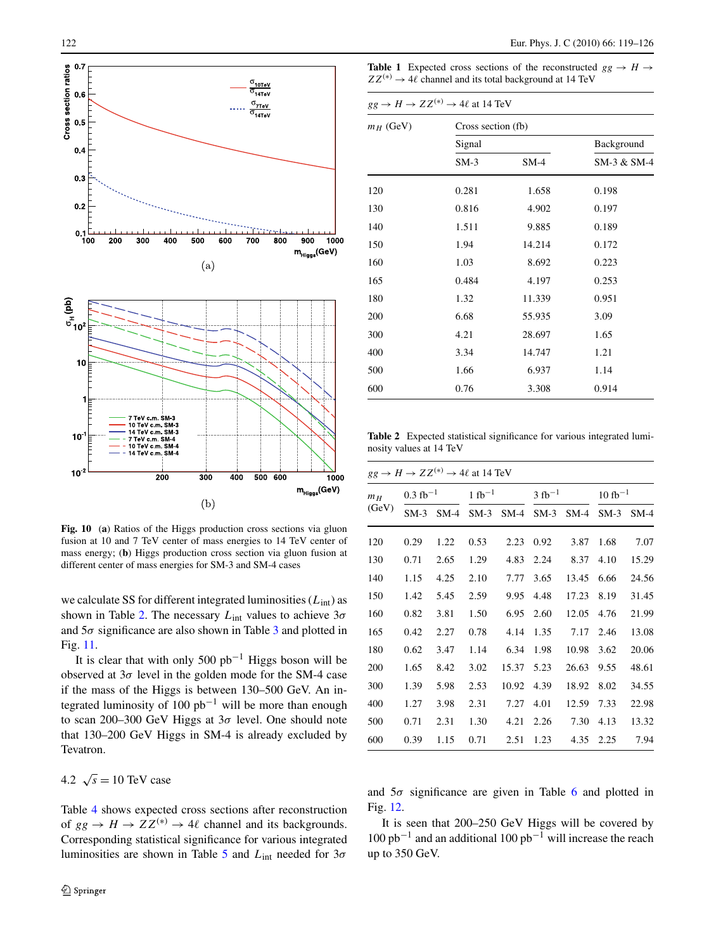<span id="page-3-0"></span>

**Fig. 10** (**a**) Ratios of the Higgs production cross sections via gluon fusion at 10 and 7 TeV center of mass energies to 14 TeV center of mass energy; (**b**) Higgs production cross section via gluon fusion at different center of mass energies for SM-3 and SM-4 cases

we calculate SS for different integrated luminosities (*L*int) as shown in Table 2. The necessary *L*int values to achieve 3*σ* and 5*σ* significance are also shown in Table [3](#page-4-0) and plotted in Fig. [11](#page-4-0).

It is clear that with only 500  $pb^{-1}$  Higgs boson will be observed at  $3\sigma$  level in the golden mode for the SM-4 case if the mass of the Higgs is between 130–500 GeV. An integrated luminosity of 100  $pb^{-1}$  will be more than enough to scan 200–300 GeV Higgs at 3*σ* level. One should note that 130–200 GeV Higgs in SM-4 is already excluded by Tevatron.

# 4.2  $\sqrt{s} = 10 \text{ TeV}$  case

Table [4](#page-4-0) shows expected cross sections after reconstruction of  $gg \to H \to ZZ^{(*)} \to 4\ell$  channel and its backgrounds. Corresponding statistical significance for various integrated luminosities are shown in Table [5](#page-4-0) and *L*int needed for 3*σ*

**Table 1** Expected cross sections of the reconstructed  $gg \rightarrow H \rightarrow$  $ZZ^{(*)} \rightarrow 4\ell$  channel and its total background at 14 TeV

|             | $gg \to H \to ZZ^{(*)} \to 4\ell$ at 14 TeV |                    |                           |  |  |  |  |  |
|-------------|---------------------------------------------|--------------------|---------------------------|--|--|--|--|--|
| $m_H$ (GeV) | Signal                                      | Cross section (fb) |                           |  |  |  |  |  |
|             | $SM-3$                                      | $SM-4$             | Background<br>SM-3 & SM-4 |  |  |  |  |  |
| 120         | 0.281                                       | 1.658              | 0.198                     |  |  |  |  |  |
| 130         | 0.816                                       | 4.902              | 0.197                     |  |  |  |  |  |
| 140         | 1.511                                       | 9.885              | 0.189                     |  |  |  |  |  |
| 150         | 1.94                                        | 14.214             | 0.172                     |  |  |  |  |  |
| 160         | 1.03                                        | 8.692              | 0.223                     |  |  |  |  |  |
| 165         | 0.484                                       | 4.197              | 0.253                     |  |  |  |  |  |
| 180         | 1.32                                        | 11.339             | 0.951                     |  |  |  |  |  |
| 200         | 6.68                                        | 55.935             | 3.09                      |  |  |  |  |  |
| 300         | 4.21                                        | 28.697             | 1.65                      |  |  |  |  |  |
| 400         | 3.34                                        | 14.747             | 1.21                      |  |  |  |  |  |
| 500         | 1.66                                        | 6.937              | 1.14                      |  |  |  |  |  |
| 600         | 0.76                                        | 3.308              | 0.914                     |  |  |  |  |  |

**Table 2** Expected statistical significance for various integrated luminosity values at 14 TeV

| $m_H$ | $0.3 \text{ fb}^{-1}$ |        | $1 fb^{-1}$ |        |        | $3 fb^{-1}$ |        | $10 \text{ fb}^{-1}$ |  |
|-------|-----------------------|--------|-------------|--------|--------|-------------|--------|----------------------|--|
| (GeV) | $SM-3$                | $SM-4$ | $SM-3$      | $SM-4$ | $SM-3$ | $SM-4$      | $SM-3$ | $SM-4$               |  |
| 120   | 0.29                  | 1.22   | 0.53        | 2.23   | 0.92   | 3.87        | 1.68   | 7.07                 |  |
| 130   | 0.71                  | 2.65   | 1.29        | 4.83   | 2.24   | 8.37        | 4.10   | 15.29                |  |
| 140   | 1.15                  | 4.25   | 2.10        | 7.77   | 3.65   | 13.45       | 6.66   | 24.56                |  |
| 150   | 1.42                  | 5.45   | 2.59        | 9.95   | 4.48   | 17.23       | 8.19   | 31.45                |  |
| 160   | 0.82                  | 3.81   | 1.50        | 6.95   | 2.60   | 12.05       | 4.76   | 21.99                |  |
| 165   | 0.42                  | 2.27   | 0.78        | 4.14   | 1.35   | 7.17        | 2.46   | 13.08                |  |
| 180   | 0.62                  | 3.47   | 1.14        | 6.34   | 1.98   | 10.98       | 3.62   | 20.06                |  |
| 200   | 1.65                  | 8.42   | 3.02        | 15.37  | 5.23   | 26.63       | 9.55   | 48.61                |  |
| 300   | 1.39                  | 5.98   | 2.53        | 10.92  | 4.39   | 18.92       | 8.02   | 34.55                |  |
| 400   | 1.27                  | 3.98   | 2.31        | 7.27   | 4.01   | 12.59       | 7.33   | 22.98                |  |
| 500   | 0.71                  | 2.31   | 1.30        | 4.21   | 2.26   | 7.30        | 4.13   | 13.32                |  |
| 600   | 0.39                  | 1.15   | 0.71        | 2.51   | 1.23   | 4.35        | 2.25   | 7.94                 |  |
|       |                       |        |             |        |        |             |        |                      |  |

and  $5\sigma$  significance are given in Table [6](#page-5-0) and plotted in Fig. [12](#page-5-0).

It is seen that 200–250 GeV Higgs will be covered by  $100$  pb<sup>-1</sup> and an additional  $100$  pb<sup>-1</sup> will increase the reach up to 350 GeV.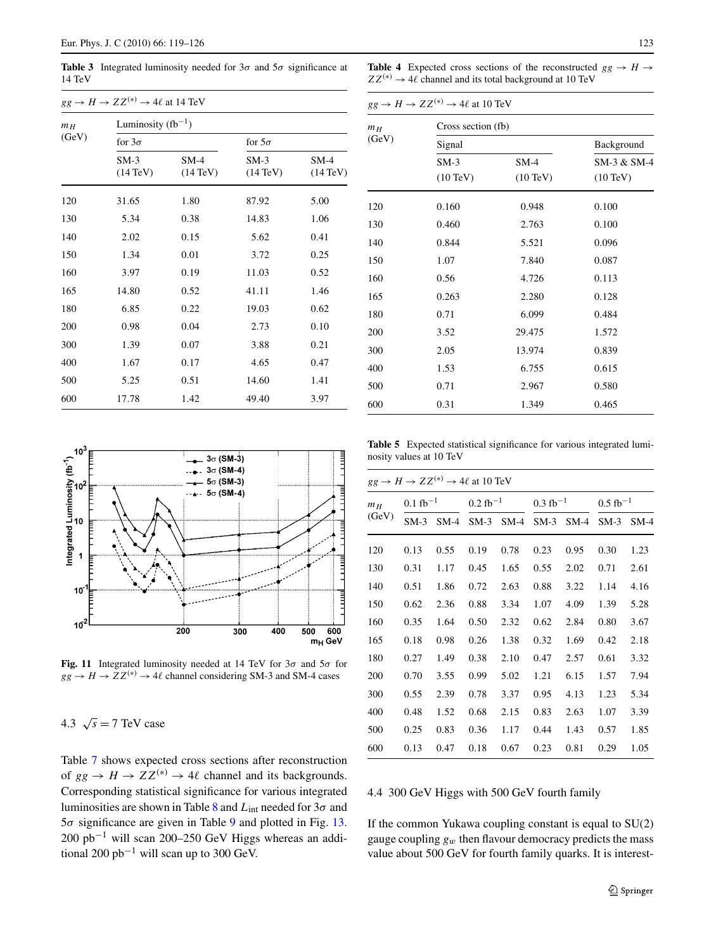<span id="page-4-0"></span>**Table 3** Integrated luminosity needed for  $3\sigma$  and  $5\sigma$  significance at 14 TeV

| $gg \to H \to ZZ^{(*)} \to 4\ell$ at 14 TeV |                              |                              |                              |                              |  |  |  |  |  |  |
|---------------------------------------------|------------------------------|------------------------------|------------------------------|------------------------------|--|--|--|--|--|--|
| m <sub>H</sub>                              |                              | Luminosity $(fb^{-1})$       |                              |                              |  |  |  |  |  |  |
| (GeV)                                       | for $3\sigma$                |                              | for $5\sigma$                |                              |  |  |  |  |  |  |
|                                             | $SM-3$<br>$(14 \text{ TeV})$ | $SM-4$<br>$(14 \text{ TeV})$ | $SM-3$<br>$(14 \text{ TeV})$ | $SM-4$<br>$(14 \text{ TeV})$ |  |  |  |  |  |  |
| 120                                         | 31.65                        | 1.80                         | 87.92                        | 5.00                         |  |  |  |  |  |  |
| 130                                         | 5.34                         | 0.38                         | 14.83                        | 1.06                         |  |  |  |  |  |  |
| 140                                         | 2.02                         | 0.15                         | 5.62                         | 0.41                         |  |  |  |  |  |  |
| 150                                         | 1.34                         | 0.01                         | 3.72                         | 0.25                         |  |  |  |  |  |  |
| 160                                         | 3.97                         | 0.19                         | 11.03                        | 0.52                         |  |  |  |  |  |  |
| 165                                         | 14.80                        | 0.52                         | 41.11                        | 1.46                         |  |  |  |  |  |  |
| 180                                         | 6.85                         | 0.22                         | 19.03                        | 0.62                         |  |  |  |  |  |  |
| 200                                         | 0.98                         | 0.04                         | 2.73                         | 0.10                         |  |  |  |  |  |  |
| 300                                         | 1.39                         | 0.07                         | 3.88                         | 0.21                         |  |  |  |  |  |  |
| 400                                         | 1.67                         | 0.17                         | 4.65                         | 0.47                         |  |  |  |  |  |  |
| 500                                         | 5.25                         | 0.51                         | 14.60                        | 1.41                         |  |  |  |  |  |  |
| 600                                         | 17.78                        | 1.42                         | 49.40                        | 3.97                         |  |  |  |  |  |  |



**Fig. 11** Integrated luminosity needed at 14 TeV for 3*σ* and 5*σ* for  $gg \rightarrow H \rightarrow ZZ^{(*)} \rightarrow 4\ell$  channel considering SM-3 and SM-4 cases

4.3  $\sqrt{s}$  = 7 TeV case

Table [7](#page-5-0) shows expected cross sections after reconstruction of  $gg \to H \to ZZ^{(*)} \to 4\ell$  channel and its backgrounds. Corresponding statistical significance for various integrated luminosities are shown in Table [8](#page-5-0) and *L*int needed for 3*σ* and 5*σ* significance are given in Table [9](#page-6-0) and plotted in Fig. [13](#page-6-0). 200 pb−<sup>1</sup> will scan 200–250 GeV Higgs whereas an additional 200 pb<sup>-1</sup> will scan up to 300 GeV.

**Table 4** Expected cross sections of the reconstructed  $gg \rightarrow H \rightarrow$  $ZZ^{(*)} \rightarrow 4\ell$  channel and its total background at 10 TeV

|                | $gg \to H \to ZZ^{(*)} \to 4\ell$ at 10 TeV |                    |                    |  |  |  |  |  |  |
|----------------|---------------------------------------------|--------------------|--------------------|--|--|--|--|--|--|
| m <sub>H</sub> |                                             | Cross section (fb) |                    |  |  |  |  |  |  |
| (GeV)          | Signal                                      |                    | Background         |  |  |  |  |  |  |
|                | $SM-3$                                      | $SM-4$             | SM-3 & SM-4        |  |  |  |  |  |  |
|                | $(10 \text{ TeV})$                          | $(10 \text{ TeV})$ | $(10 \text{ TeV})$ |  |  |  |  |  |  |
| 120            | 0.160                                       | 0.948              | 0.100              |  |  |  |  |  |  |
| 130            | 0.460                                       | 2.763              | 0.100              |  |  |  |  |  |  |
| 140            | 0.844                                       | 5.521              | 0.096              |  |  |  |  |  |  |
| 150            | 1.07                                        | 7.840              | 0.087              |  |  |  |  |  |  |
| 160            | 0.56                                        | 4.726              | 0.113              |  |  |  |  |  |  |
| 165            | 0.263                                       | 2.280              | 0.128              |  |  |  |  |  |  |
| 180            | 0.71                                        | 6.099              | 0.484              |  |  |  |  |  |  |
| 200            | 3.52                                        | 29.475             | 1.572              |  |  |  |  |  |  |
| 300            | 2.05                                        | 13.974             | 0.839              |  |  |  |  |  |  |
| 400            | 1.53                                        | 6.755              | 0.615              |  |  |  |  |  |  |
| 500            | 0.71                                        | 2.967              | 0.580              |  |  |  |  |  |  |
| 600            | 0.31                                        | 1.349              | 0.465              |  |  |  |  |  |  |

**Table 5** Expected statistical significance for various integrated luminosity values at 10 TeV

|                | $gg \to H \to ZZ^{(*)} \to 4\ell$ at 10 TeV |                       |        |                     |        |                     |        |                     |  |
|----------------|---------------------------------------------|-----------------------|--------|---------------------|--------|---------------------|--------|---------------------|--|
| m <sub>H</sub> |                                             | $0.1 \text{ fb}^{-1}$ |        | $0.2~{\rm fb}^{-1}$ |        | $0.3~{\rm fb}^{-1}$ |        | $0.5~{\rm fb}^{-1}$ |  |
| (GeV)          | $SM-3$                                      | $SM-4$                | $SM-3$ | $SM-4$              | $SM-3$ | $SM-4$              | $SM-3$ | $SM-4$              |  |
| 120            | 0.13                                        | 0.55                  | 0.19   | 0.78                | 0.23   | 0.95                | 0.30   | 1.23                |  |
| 130            | 0.31                                        | 1.17                  | 0.45   | 1.65                | 0.55   | 2.02                | 0.71   | 2.61                |  |
| 140            | 0.51                                        | 1.86                  | 0.72   | 2.63                | 0.88   | 3.22                | 1.14   | 4.16                |  |
| 150            | 0.62                                        | 2.36                  | 0.88   | 3.34                | 1.07   | 4.09                | 1.39   | 5.28                |  |
| 160            | 0.35                                        | 1.64                  | 0.50   | 2.32                | 0.62   | 2.84                | 0.80   | 3.67                |  |
| 165            | 0.18                                        | 0.98                  | 0.26   | 1.38                | 0.32   | 1.69                | 0.42   | 2.18                |  |
| 180            | 0.27                                        | 1.49                  | 0.38   | 2.10                | 0.47   | 2.57                | 0.61   | 3.32                |  |
| 200            | 0.70                                        | 3.55                  | 0.99   | 5.02                | 1.21   | 6.15                | 1.57   | 7.94                |  |
| 300            | 0.55                                        | 2.39                  | 0.78   | 3.37                | 0.95   | 4.13                | 1.23   | 5.34                |  |
| 400            | 0.48                                        | 1.52                  | 0.68   | 2.15                | 0.83   | 2.63                | 1.07   | 3.39                |  |
| 500            | 0.25                                        | 0.83                  | 0.36   | 1.17                | 0.44   | 1.43                | 0.57   | 1.85                |  |
| 600            | 0.13                                        | 0.47                  | 0.18   | 0.67                | 0.23   | 0.81                | 0.29   | 1.05                |  |

# 4.4 300 GeV Higgs with 500 GeV fourth family

If the common Yukawa coupling constant is equal to SU(2) gauge coupling  $g_w$  then flavour democracy predicts the mass value about 500 GeV for fourth family quarks. It is interest-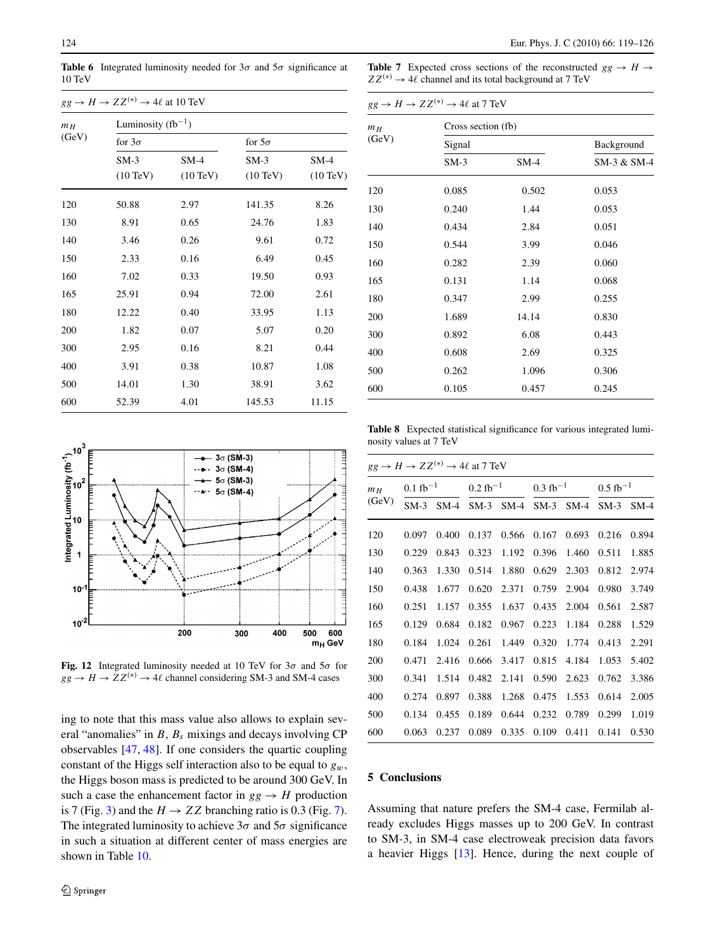<span id="page-5-0"></span>**Table 6** Integrated luminosity needed for  $3\sigma$  and  $5\sigma$  significance at 10 TeV

| $gg \to H \to ZZ^{(*)} \to 4\ell$ at 10 TeV |                    |                        |                    |                    |  |  |  |  |  |
|---------------------------------------------|--------------------|------------------------|--------------------|--------------------|--|--|--|--|--|
| m <sub>H</sub><br>(GeV)                     |                    | Luminosity $(fb^{-1})$ |                    |                    |  |  |  |  |  |
|                                             | for $3\sigma$      |                        | for $5\sigma$      |                    |  |  |  |  |  |
|                                             | $SM-3$             | $SM-4$                 | $SM-3$             | $SM-4$             |  |  |  |  |  |
|                                             | $(10 \text{ TeV})$ | $(10 \text{ TeV})$     | $(10 \text{ TeV})$ | $(10 \text{ TeV})$ |  |  |  |  |  |
| 120                                         | 50.88              | 2.97                   | 141.35             | 8.26               |  |  |  |  |  |
| 130                                         | 8.91               | 0.65                   | 24.76              | 1.83               |  |  |  |  |  |
| 140                                         | 3.46               | 0.26                   | 9.61               | 0.72               |  |  |  |  |  |
| 150                                         | 2.33               | 0.16                   | 6.49               | 0.45               |  |  |  |  |  |
| 160                                         | 7.02               | 0.33                   | 19.50              | 0.93               |  |  |  |  |  |
| 165                                         | 25.91              | 0.94                   | 72.00              | 2.61               |  |  |  |  |  |
| 180                                         | 12.22              | 0.40                   | 33.95              | 1.13               |  |  |  |  |  |
| 200                                         | 1.82               | 0.07                   | 5.07               | 0.20               |  |  |  |  |  |
| 300                                         | 2.95               | 0.16                   | 8.21               | 0.44               |  |  |  |  |  |
| 400                                         | 3.91               | 0.38                   | 10.87              | 1.08               |  |  |  |  |  |
| 500                                         | 14.01              | 1.30                   | 38.91              | 3.62               |  |  |  |  |  |
| 600                                         | 52.39              | 4.01                   | 145.53             | 11.15              |  |  |  |  |  |

**Table 7** Expected cross sections of the reconstructed  $gg \rightarrow H \rightarrow$  $ZZ^{(*)} \rightarrow 4\ell$  channel and its total background at 7 TeV

| $gg \to H \to ZZ^{(*)} \to 4\ell$ at 7 TeV |        |                    |             |  |  |  |  |  |
|--------------------------------------------|--------|--------------------|-------------|--|--|--|--|--|
| $m_H$                                      |        | Cross section (fb) |             |  |  |  |  |  |
| (GeV)                                      | Signal |                    | Background  |  |  |  |  |  |
|                                            | $SM-3$ | $SM-4$             | SM-3 & SM-4 |  |  |  |  |  |
| 120                                        | 0.085  | 0.502              | 0.053       |  |  |  |  |  |
| 130                                        | 0.240  | 1.44               | 0.053       |  |  |  |  |  |
| 140                                        | 0.434  | 2.84               | 0.051       |  |  |  |  |  |
| 150                                        | 0.544  | 3.99               | 0.046       |  |  |  |  |  |
| 160                                        | 0.282  | 2.39               | 0.060       |  |  |  |  |  |
| 165                                        | 0.131  | 1.14               | 0.068       |  |  |  |  |  |
| 180                                        | 0.347  | 2.99               | 0.255       |  |  |  |  |  |
| 200                                        | 1.689  | 14.14              | 0.830       |  |  |  |  |  |
| 300                                        | 0.892  | 6.08               | 0.443       |  |  |  |  |  |
| 400                                        | 0.608  | 2.69               | 0.325       |  |  |  |  |  |
| 500                                        | 0.262  | 1.096              | 0.306       |  |  |  |  |  |
| 600                                        | 0.105  | 0.457              | 0.245       |  |  |  |  |  |



**Fig. 12** Integrated luminosity needed at 10 TeV for 3*σ* and 5*σ* for  $gg \rightarrow H \rightarrow ZZ^{(*)} \rightarrow 4\ell$  channel considering SM-3 and SM-4 cases

ing to note that this mass value also allows to explain several "anomalies" in *B*, *Bs* mixings and decays involving CP observables [\[47](#page-7-0), [48](#page-7-0)]. If one considers the quartic coupling constant of the Higgs self interaction also to be equal to *gw*, the Higgs boson mass is predicted to be around 300 GeV. In such a case the enhancement factor in  $gg \rightarrow H$  production is 7 (Fig. [3](#page-1-0)) and the  $H \rightarrow ZZ$  branching ratio is 0.3 (Fig. [7](#page-2-0)). The integrated luminosity to achieve  $3\sigma$  and  $5\sigma$  significance in such a situation at different center of mass energies are shown in Table [10.](#page-6-0)

**Table 8** Expected statistical significance for various integrated luminosity values at 7 TeV

|                | $gg \to H \to ZZ^{(*)} \to 4\ell$ at 7 TeV |        |                     |        |                     |        |                        |        |
|----------------|--------------------------------------------|--------|---------------------|--------|---------------------|--------|------------------------|--------|
| m <sub>H</sub> | $0.1~{\rm fb}^{-1}$                        |        | $0.2~{\rm fb^{-1}}$ |        | $0.3~{\rm fb}^{-1}$ |        | $0.5$ fb <sup>-1</sup> |        |
| (GeV)          | $SM-3$                                     | $SM-4$ | $SM-3$              | $SM-4$ | $SM-3$              | $SM-4$ | $SM-3$                 | $SM-4$ |
| 120            | 0.097                                      | 0.400  | 0.137               | 0.566  | 0.167               | 0.693  | 0.216                  | 0.894  |
| 130            | 0.229                                      | 0.843  | 0.323               | 1.192  | 0.396               | 1.460  | 0.511                  | 1.885  |
| 140            | 0.363                                      | 1.330  | 0.514               | 1.880  | 0.629               | 2.303  | 0.812                  | 2.974  |
| 150            | 0.438                                      | 1.677  | 0.620               | 2.371  | 0.759               | 2.904  | 0.980                  | 3.749  |
| 160            | 0.251                                      | 1.157  | 0.355               | 1.637  | 0.435               | 2.004  | 0.561                  | 2.587  |
| 165            | 0.129                                      | 0.684  | 0.182               | 0.967  | 0.223               | 1.184  | 0.288                  | 1.529  |
| 180            | 0.184                                      | 1.024  | 0.261               | 1.449  | 0.320               | 1.774  | 0.413                  | 2.291  |
| 200            | 0.471                                      | 2.416  | 0.666               | 3.417  | 0.815               | 4.184  | 1.053                  | 5.402  |
| 300            | 0.341                                      | 1.514  | 0.482               | 2.141  | 0.590               | 2.623  | 0.762                  | 3.386  |
| 400            | 0.274                                      | 0.897  | 0.388               | 1.268  | 0.475               | 1.553  | 0.614                  | 2.005  |
| 500            | 0.134                                      | 0.455  | 0.189               | 0.644  | 0.232               | 0.789  | 0.299                  | 1.019  |
| 600            | 0.063                                      | 0.237  | 0.089               | 0.335  | 0.109               | 0.411  | 0.141                  | 0.530  |

#### **5 Conclusions**

Assuming that nature prefers the SM-4 case, Fermilab already excludes Higgs masses up to 200 GeV. In contrast to SM-3, in SM-4 case electroweak precision data favors a heavier Higgs [\[13](#page-6-0)]. Hence, during the next couple of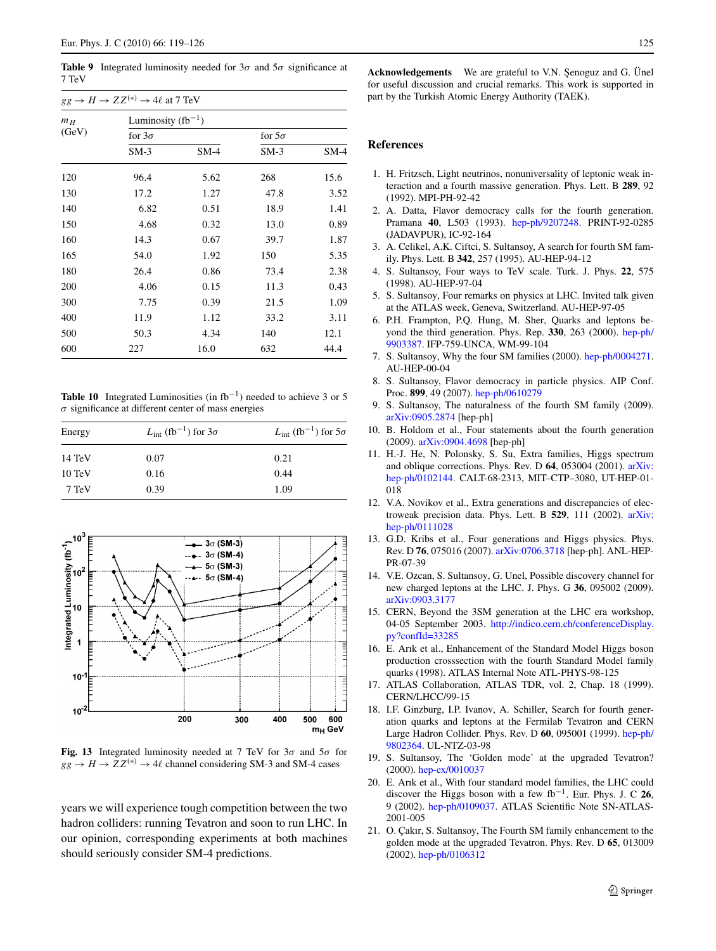<span id="page-6-0"></span>**Table 9** Integrated luminosity needed for  $3\sigma$  and  $5\sigma$  significance at 7 TeV

| $gg \to H \to ZZ^{(*)} \to 4\ell$ at 7 TeV |               |                        |               |        |  |  |  |  |  |
|--------------------------------------------|---------------|------------------------|---------------|--------|--|--|--|--|--|
| m <sub>H</sub><br>(GeV)                    |               | Luminosity $(fb^{-1})$ |               |        |  |  |  |  |  |
|                                            | for $3\sigma$ |                        | for $5\sigma$ |        |  |  |  |  |  |
|                                            | $SM-3$        | $SM-4$                 | $SM-3$        | $SM-4$ |  |  |  |  |  |
| 120                                        | 96.4          | 5.62                   | 268           | 15.6   |  |  |  |  |  |
| 130                                        | 17.2          | 1.27                   | 47.8          | 3.52   |  |  |  |  |  |
| 140                                        | 6.82          | 0.51                   | 18.9          | 1.41   |  |  |  |  |  |
| 150                                        | 4.68          | 0.32                   | 13.0          | 0.89   |  |  |  |  |  |
| 160                                        | 14.3          | 0.67                   | 39.7          | 1.87   |  |  |  |  |  |
| 165                                        | 54.0          | 1.92                   | 150           | 5.35   |  |  |  |  |  |
| 180                                        | 26.4          | 0.86                   | 73.4          | 2.38   |  |  |  |  |  |
| 200                                        | 4.06          | 0.15                   | 11.3          | 0.43   |  |  |  |  |  |
| 300                                        | 7.75          | 0.39                   | 21.5          | 1.09   |  |  |  |  |  |
| 400                                        | 11.9          | 1.12                   | 33.2          | 3.11   |  |  |  |  |  |
| 500                                        | 50.3          | 4.34                   | 140           | 12.1   |  |  |  |  |  |
| 600                                        | 227           | 16.0                   | 632           | 44.4   |  |  |  |  |  |

**Table 10** Integrated Luminosities (in  $fb^{-1}$ ) needed to achieve 3 or 5 *σ* significance at different center of mass energies

| Energy           | $L_{\text{int}}$ (fb <sup>-1</sup> ) for $3\sigma$ | $L_{\text{int}}$ (fb <sup>-1</sup> ) for $5\sigma$ |
|------------------|----------------------------------------------------|----------------------------------------------------|
| 14 TeV           | 0.07                                               | 0.21                                               |
| $10 \text{ TeV}$ | 0.16                                               | 0.44                                               |
| 7 TeV            | 0.39                                               | 1.09                                               |



**Fig. 13** Integrated luminosity needed at 7 TeV for 3*σ* and 5*σ* for  $gg \rightarrow H \rightarrow ZZ^{(*)} \rightarrow 4\ell$  channel considering SM-3 and SM-4 cases

years we will experience tough competition between the two hadron colliders: running Tevatron and soon to run LHC. In our opinion, corresponding experiments at both machines should seriously consider SM-4 predictions.

Acknowledgements We are grateful to V.N. Şenoguz and G. Ünel for useful discussion and crucial remarks. This work is supported in part by the Turkish Atomic Energy Authority (TAEK).

#### **References**

- 1. H. Fritzsch, Light neutrinos, nonuniversality of leptonic weak interaction and a fourth massive generation. Phys. Lett. B **289**, 92 (1992). MPI-PH-92-42
- 2. A. Datta, Flavor democracy calls for the fourth generation. Pramana **40**, L503 (1993). [hep-ph/9207248.](http://arxiv.org/abs/hep-ph/9207248) PRINT-92-0285 (JADAVPUR), IC-92-164
- 3. A. Celikel, A.K. Ciftci, S. Sultansoy, A search for fourth SM family. Phys. Lett. B **342**, 257 (1995). AU-HEP-94-12
- 4. S. Sultansoy, Four ways to TeV scale. Turk. J. Phys. **22**, 575 (1998). AU-HEP-97-04
- 5. S. Sultansoy, Four remarks on physics at LHC. Invited talk given at the ATLAS week, Geneva, Switzerland. AU-HEP-97-05
- 6. P.H. Frampton, P.Q. Hung, M. Sher, Quarks and leptons beyond the third generation. Phys. Rep. **330**, 263 (2000). [hep-ph/](http://arxiv.org/abs/hep-ph/9903387) [9903387](http://arxiv.org/abs/hep-ph/9903387). IFP-759-UNCA, WM-99-104
- 7. S. Sultansoy, Why the four SM families (2000). [hep-ph/0004271.](http://arxiv.org/abs/hep-ph/0004271) AU-HEP-00-04
- 8. S. Sultansoy, Flavor democracy in particle physics. AIP Conf. Proc. **899**, 49 (2007). [hep-ph/0610279](http://arxiv.org/abs/hep-ph/0610279)
- 9. S. Sultansoy, The naturalness of the fourth SM family (2009). [arXiv:0905.2874](http://arxiv.org/abs/arXiv:0905.2874) [hep-ph]
- 10. B. Holdom et al., Four statements about the fourth generation (2009). [arXiv:0904.4698](http://arxiv.org/abs/arXiv:0904.4698) [hep-ph]
- 11. H.-J. He, N. Polonsky, S. Su, Extra families, Higgs spectrum and oblique corrections. Phys. Rev. D **64**, 053004 (2001). [arXiv:](http://arxiv.org/abs/arXiv:hep-ph/0102144) [hep-ph/0102144.](http://arxiv.org/abs/arXiv:hep-ph/0102144) CALT-68-2313, MIT–CTP–3080, UT-HEP-01- 018
- 12. V.A. Novikov et al., Extra generations and discrepancies of electroweak precision data. Phys. Lett. B **529**, 111 (2002). [arXiv:](http://arxiv.org/abs/arXiv:hep-ph/0111028) [hep-ph/0111028](http://arxiv.org/abs/arXiv:hep-ph/0111028)
- 13. G.D. Kribs et al., Four generations and Higgs physics. Phys. Rev. D **76**, 075016 (2007). [arXiv:0706.3718](http://arxiv.org/abs/arXiv:0706.3718) [hep-ph]. ANL-HEP-PR-07-39
- 14. V.E. Ozcan, S. Sultansoy, G. Unel, Possible discovery channel for new charged leptons at the LHC. J. Phys. G **36**, 095002 (2009). [arXiv:0903.3177](http://arxiv.org/abs/arXiv:0903.3177)
- 15. CERN, Beyond the 3SM generation at the LHC era workshop, 04-05 September 2003. [http://indico.cern.ch/conferenceDisplay.](http://indico.cern.ch/conferenceDisplay.py?confId=33285) [py?confId=33285](http://indico.cern.ch/conferenceDisplay.py?confId=33285)
- 16. E. Arık et al., Enhancement of the Standard Model Higgs boson production crosssection with the fourth Standard Model family quarks (1998). ATLAS Internal Note ATL-PHYS-98-125
- 17. ATLAS Collaboration, ATLAS TDR, vol. 2, Chap. 18 (1999). CERN/LHCC/99-15
- 18. I.F. Ginzburg, I.P. Ivanov, A. Schiller, Search for fourth generation quarks and leptons at the Fermilab Tevatron and CERN Large Hadron Collider. Phys. Rev. D **60**, 095001 (1999). [hep-ph/](http://arxiv.org/abs/hep-ph/9802364) [9802364](http://arxiv.org/abs/hep-ph/9802364). UL-NTZ-03-98
- 19. S. Sultansoy, The 'Golden mode' at the upgraded Tevatron? (2000). [hep-ex/0010037](http://arxiv.org/abs/hep-ex/0010037)
- 20. E. Arık et al., With four standard model families, the LHC could discover the Higgs boson with a few fb<sup>−</sup>1. Eur. Phys. J. C **26**, 9 (2002). [hep-ph/0109037.](http://arxiv.org/abs/hep-ph/0109037) ATLAS Scientific Note SN-ATLAS-2001-005
- 21. O. Çakır, S. Sultansoy, The Fourth SM family enhancement to the golden mode at the upgraded Tevatron. Phys. Rev. D **65**, 013009 (2002). [hep-ph/0106312](http://arxiv.org/abs/hep-ph/0106312)